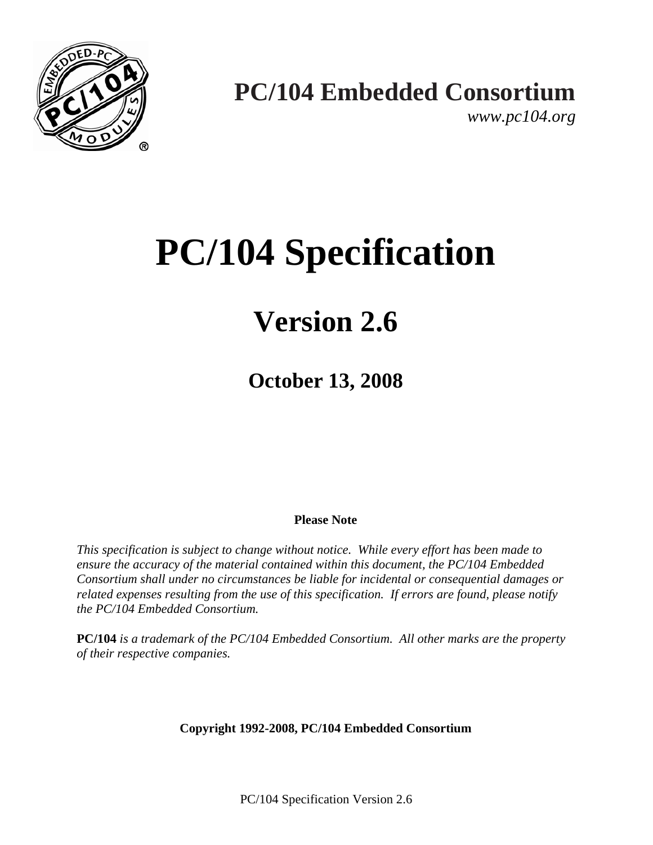

*www.pc104.org* 

# **PC/104 Specification**

## **Version 2.6**

**October 13, 2008** 

#### **Please Note**

*This specification is subject to change without notice. While every effort has been made to ensure the accuracy of the material contained within this document, the PC/104 Embedded Consortium shall under no circumstances be liable for incidental or consequential damages or related expenses resulting from the use of this specification. If errors are found, please notify the PC/104 Embedded Consortium.*

**PC/104** *is a trademark of the PC/104 Embedded Consortium. All other marks are the property of their respective companies.*

**Copyright 1992-2008, PC/104 Embedded Consortium** 

PC/104 Specification Version 2.6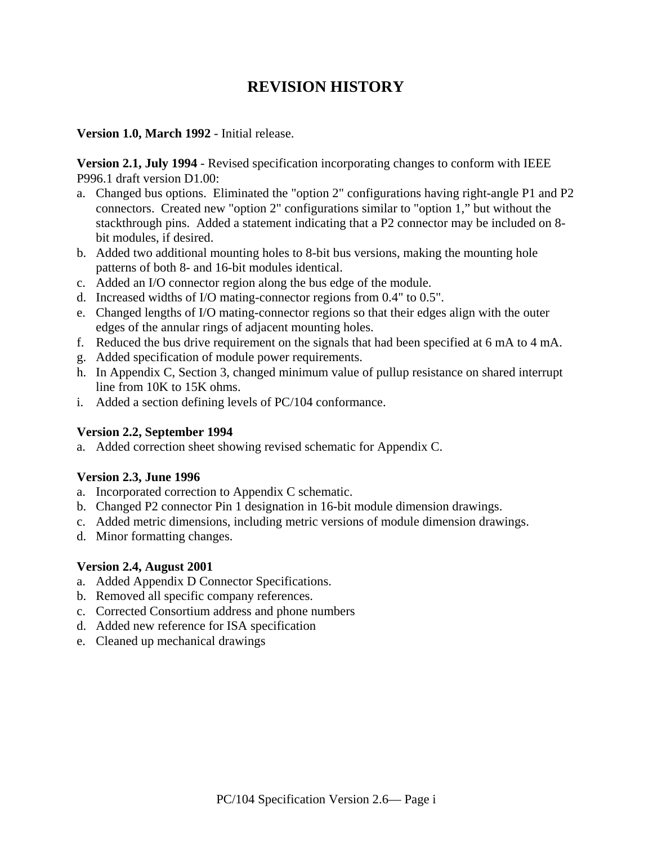## **REVISION HISTORY**

#### **Version 1.0, March 1992** - Initial release.

**Version 2.1, July 1994** - Revised specification incorporating changes to conform with IEEE P996.1 draft version D1.00:

- a. Changed bus options. Eliminated the "option 2" configurations having right-angle P1 and P2 connectors. Created new "option 2" configurations similar to "option 1," but without the stackthrough pins. Added a statement indicating that a P2 connector may be included on 8 bit modules, if desired.
- b. Added two additional mounting holes to 8-bit bus versions, making the mounting hole patterns of both 8- and 16-bit modules identical.
- c. Added an I/O connector region along the bus edge of the module.
- d. Increased widths of I/O mating-connector regions from 0.4" to 0.5".
- e. Changed lengths of I/O mating-connector regions so that their edges align with the outer edges of the annular rings of adjacent mounting holes.
- f. Reduced the bus drive requirement on the signals that had been specified at 6 mA to 4 mA.
- g. Added specification of module power requirements.
- h. In Appendix C, Section 3, changed minimum value of pullup resistance on shared interrupt line from 10K to 15K ohms.
- i. Added a section defining levels of PC/104 conformance.

#### **Version 2.2, September 1994**

a. Added correction sheet showing revised schematic for Appendix C.

#### **Version 2.3, June 1996**

- a. Incorporated correction to Appendix C schematic.
- b. Changed P2 connector Pin 1 designation in 16-bit module dimension drawings.
- c. Added metric dimensions, including metric versions of module dimension drawings.
- d. Minor formatting changes.

#### **Version 2.4, August 2001**

- a. Added Appendix D Connector Specifications.
- b. Removed all specific company references.
- c. Corrected Consortium address and phone numbers
- d. Added new reference for ISA specification
- e. Cleaned up mechanical drawings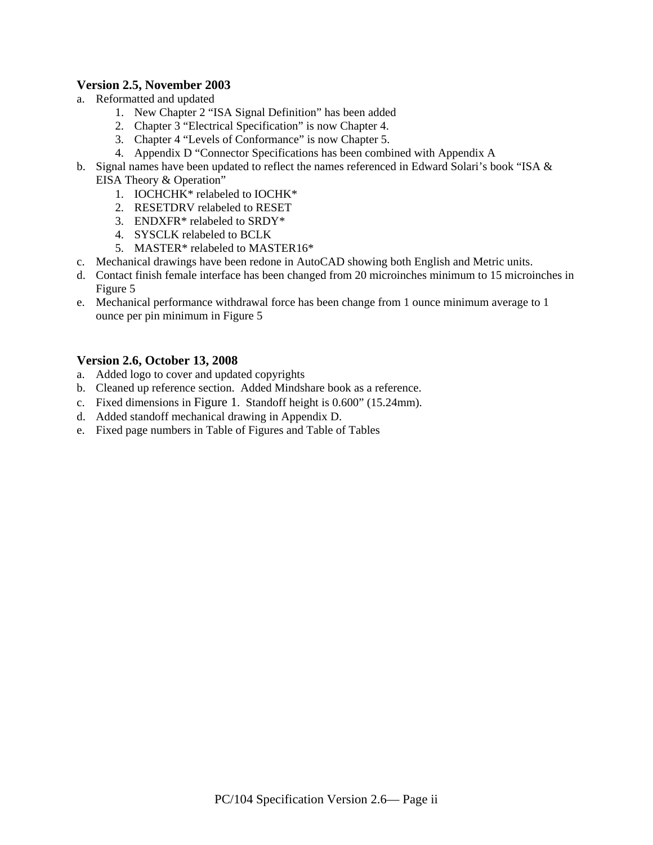#### **Version 2.5, November 2003**

- a. Reformatted and updated
	- 1. New Chapter 2 "ISA Signal Definition" has been added
	- 2. Chapter 3 "Electrical Specification" is now Chapter 4.
	- 3. Chapter 4 "Levels of Conformance" is now Chapter 5.
	- 4. Appendix D "Connector Specifications has been combined with Appendix A
- b. Signal names have been updated to reflect the names referenced in Edward Solari's book "ISA & EISA Theory & Operation"
	- 1. IOCHCHK\* relabeled to IOCHK\*
	- 2. RESETDRV relabeled to RESET
	- 3. ENDXFR\* relabeled to SRDY\*
	- 4. SYSCLK relabeled to BCLK
	- 5. MASTER\* relabeled to MASTER16\*
- c. Mechanical drawings have been redone in AutoCAD showing both English and Metric units.
- d. Contact finish female interface has been changed from 20 microinches minimum to 15 microinches in Figure 5
- e. Mechanical performance withdrawal force has been change from 1 ounce minimum average to 1 ounce per pin minimum in Figure 5

#### **Version 2.6, October 13, 2008**

- a. Added logo to cover and updated copyrights
- b. Cleaned up reference section. Added Mindshare book as a reference.
- c. Fixed dimensions in Figure 1. Standoff height is 0.600" (15.24mm).
- d. Added standoff mechanical drawing in Appendix D.
- e. Fixed page numbers in Table of Figures and Table of Tables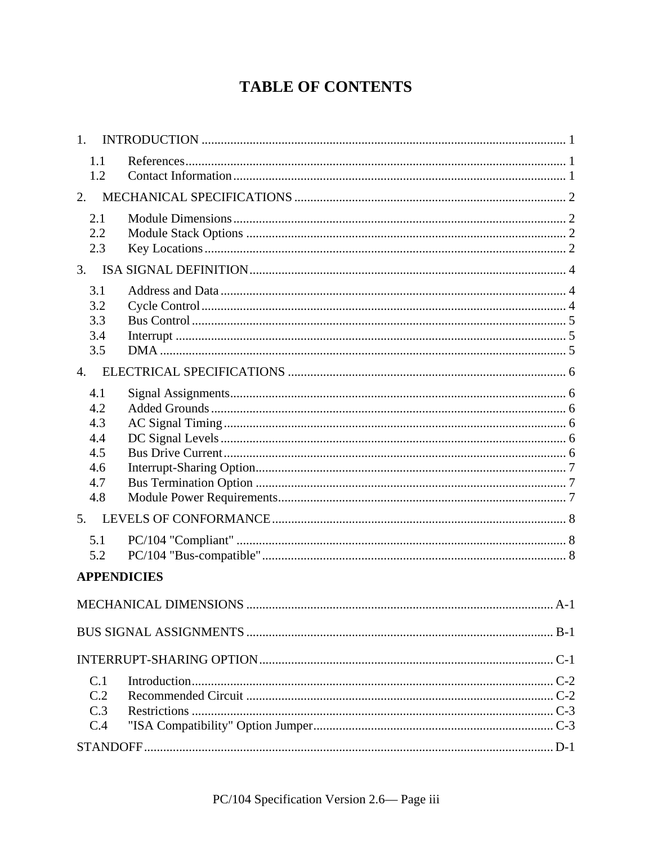## **TABLE OF CONTENTS**

| 1.                                                   |  |
|------------------------------------------------------|--|
| 1.1<br>1.2                                           |  |
| $\overline{2}$ .                                     |  |
| 2.1<br>2.2<br>2.3                                    |  |
| 3.                                                   |  |
| 3.1<br>3.2<br>3.3<br>3.4<br>3.5                      |  |
| $\overline{4}$ .                                     |  |
| 4.1<br>4.2<br>4.3<br>4.4<br>4.5<br>4.6<br>4.7<br>4.8 |  |
| 5.                                                   |  |
| 5.1<br>5.2                                           |  |
| <b>APPENDICIES</b>                                   |  |
|                                                      |  |
|                                                      |  |
|                                                      |  |
| C.1<br>C.2<br>C.3<br>C.4                             |  |
|                                                      |  |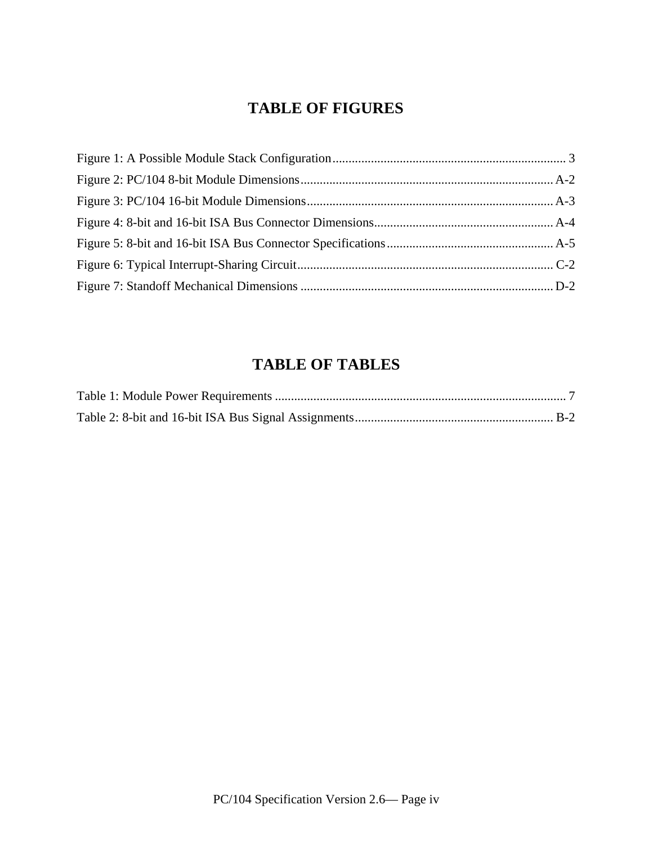## **TABLE OF FIGURES**

## **TABLE OF TABLES**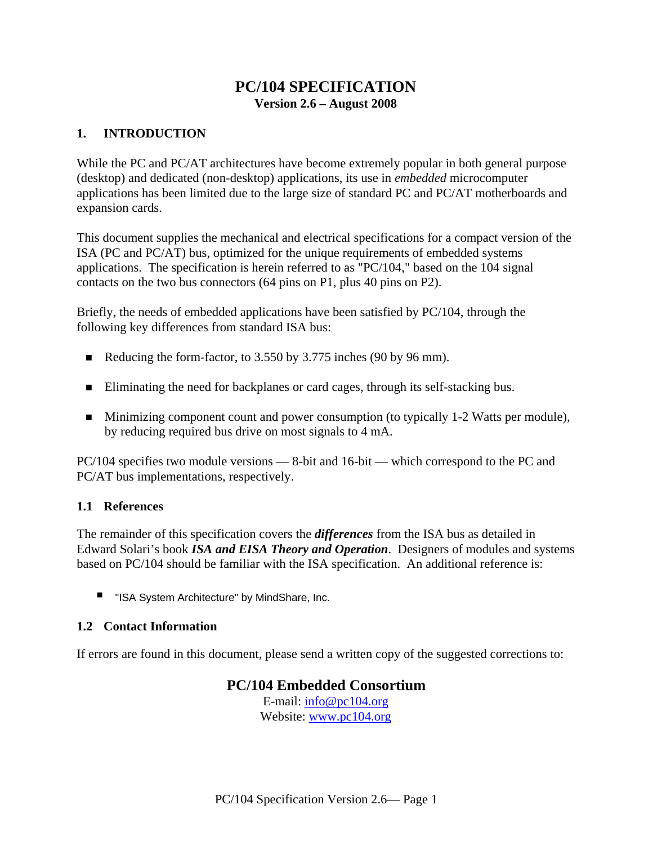#### **PC/104 SPECIFICATION Version 2.6 – August 2008**

#### **1. INTRODUCTION**

While the PC and PC/AT architectures have become extremely popular in both general purpose (desktop) and dedicated (non-desktop) applications, its use in *embedded* microcomputer applications has been limited due to the large size of standard PC and PC/AT motherboards and expansion cards.

This document supplies the mechanical and electrical specifications for a compact version of the ISA (PC and PC/AT) bus, optimized for the unique requirements of embedded systems applications. The specification is herein referred to as "PC/104," based on the 104 signal contacts on the two bus connectors (64 pins on P1, plus 40 pins on P2).

Briefly, the needs of embedded applications have been satisfied by PC/104, through the following key differences from standard ISA bus:

- Reducing the form-factor, to 3.550 by 3.775 inches (90 by 96 mm).
- Eliminating the need for backplanes or card cages, through its self-stacking bus.
- Minimizing component count and power consumption (to typically 1-2 Watts per module), by reducing required bus drive on most signals to 4 mA.

PC/104 specifies two module versions — 8-bit and 16-bit — which correspond to the PC and PC/AT bus implementations, respectively.

#### **1.1 References**

The remainder of this specification covers the *differences* from the ISA bus as detailed in Edward Solari's book *ISA and EISA Theory and Operation*. Designers of modules and systems based on PC/104 should be familiar with the ISA specification. An additional reference is:

■ "ISA System Architecture" by MindShare, Inc.

#### **1.2 Contact Information**

If errors are found in this document, please send a written copy of the suggested corrections to:

#### **PC/104 Embedded Consortium**

E-mail: info@pc104.org Website: www.pc104.org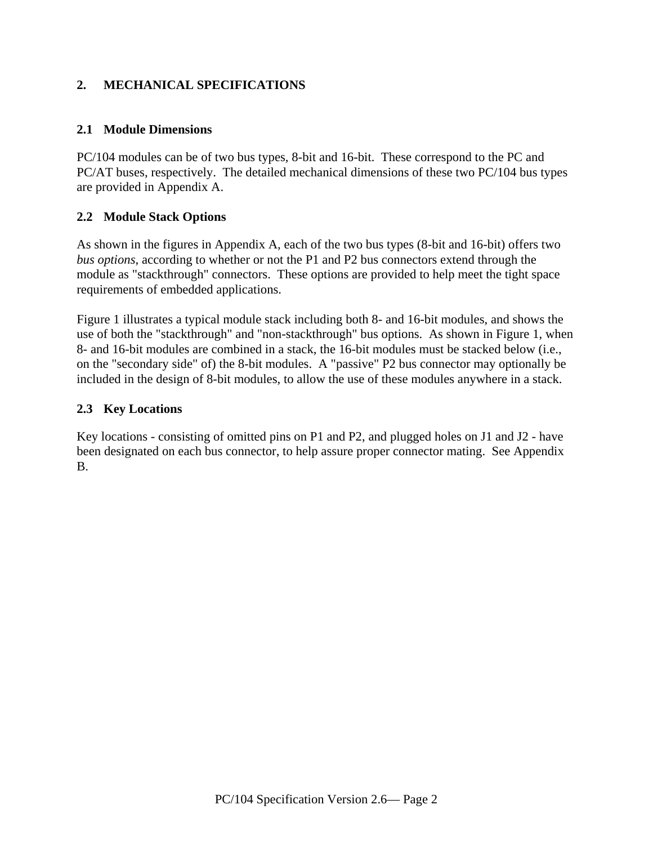#### **2. MECHANICAL SPECIFICATIONS**

#### **2.1 Module Dimensions**

PC/104 modules can be of two bus types, 8-bit and 16-bit. These correspond to the PC and PC/AT buses, respectively. The detailed mechanical dimensions of these two PC/104 bus types are provided in Appendix A.

#### **2.2 Module Stack Options**

As shown in the figures in Appendix A, each of the two bus types (8-bit and 16-bit) offers two *bus options*, according to whether or not the P1 and P2 bus connectors extend through the module as "stackthrough" connectors. These options are provided to help meet the tight space requirements of embedded applications.

Figure 1 illustrates a typical module stack including both 8- and 16-bit modules, and shows the use of both the "stackthrough" and "non-stackthrough" bus options. As shown in Figure 1, when 8- and 16-bit modules are combined in a stack, the 16-bit modules must be stacked below (i.e., on the "secondary side" of) the 8-bit modules. A "passive" P2 bus connector may optionally be included in the design of 8-bit modules, to allow the use of these modules anywhere in a stack.

#### **2.3 Key Locations**

Key locations - consisting of omitted pins on P1 and P2, and plugged holes on J1 and J2 - have been designated on each bus connector, to help assure proper connector mating. See Appendix B.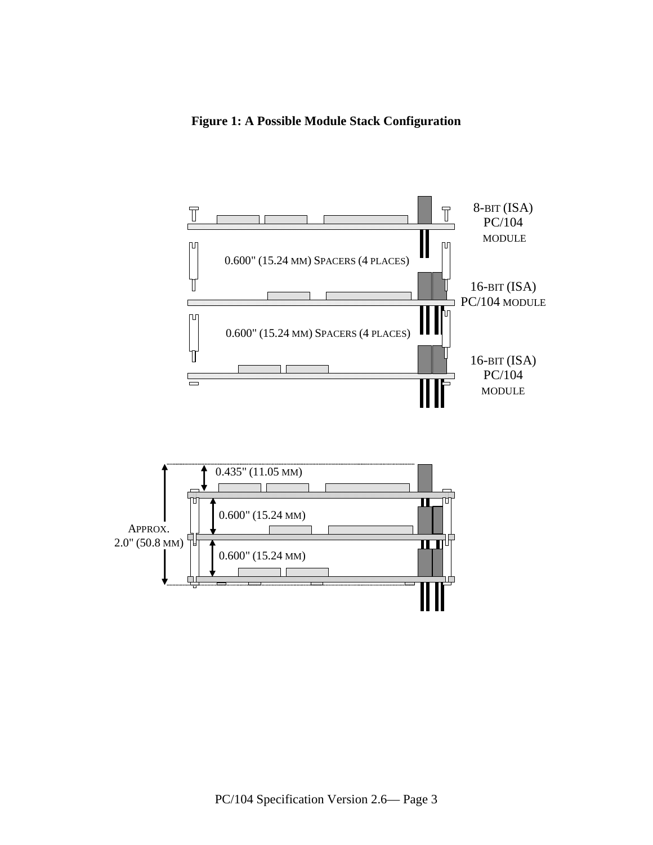**Figure 1: A Possible Module Stack Configuration**

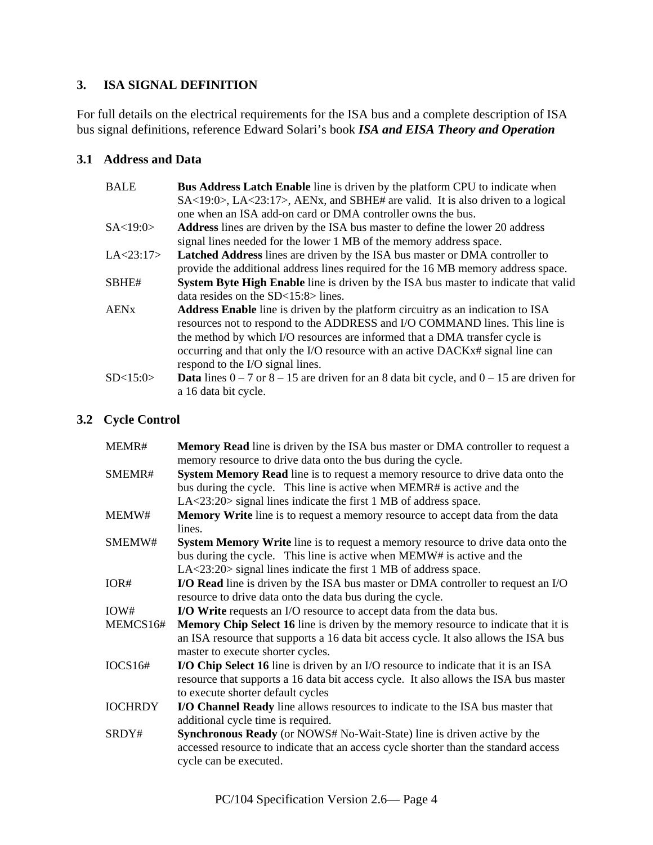#### **3. ISA SIGNAL DEFINITION**

For full details on the electrical requirements for the ISA bus and a complete description of ISA bus signal definitions, reference Edward Solari's book *ISA and EISA Theory and Operation*

#### **3.1 Address and Data**

| <b>BALE</b><br><b>Bus Address Latch Enable</b> line is driven by the platform CPU to indicate when |                                                                                                       |  |  |  |
|----------------------------------------------------------------------------------------------------|-------------------------------------------------------------------------------------------------------|--|--|--|
|                                                                                                    | $SA < 19:0$ , $LA < 23:17$ , $AENx$ , and $SBHE#$ are valid. It is also driven to a logical           |  |  |  |
|                                                                                                    | one when an ISA add-on card or DMA controller owns the bus.                                           |  |  |  |
| SA < 19:0>                                                                                         | <b>Address</b> lines are driven by the ISA bus master to define the lower 20 address                  |  |  |  |
|                                                                                                    | signal lines needed for the lower 1 MB of the memory address space.                                   |  |  |  |
| LA < 23:17>                                                                                        | Latched Address lines are driven by the ISA bus master or DMA controller to                           |  |  |  |
|                                                                                                    | provide the additional address lines required for the 16 MB memory address space.                     |  |  |  |
| SBHE#                                                                                              | <b>System Byte High Enable</b> line is driven by the ISA bus master to indicate that valid            |  |  |  |
|                                                                                                    | data resides on the $SD < 15:8 >$ lines.                                                              |  |  |  |
| <b>AEN<sub>x</sub></b>                                                                             | <b>Address Enable</b> line is driven by the platform circuitry as an indication to ISA                |  |  |  |
|                                                                                                    | resources not to respond to the ADDRESS and I/O COMMAND lines. This line is                           |  |  |  |
|                                                                                                    | the method by which I/O resources are informed that a DMA transfer cycle is                           |  |  |  |
|                                                                                                    | occurring and that only the I/O resource with an active DACK $x$ # signal line can                    |  |  |  |
|                                                                                                    | respond to the I/O signal lines.                                                                      |  |  |  |
| SD < 15:0>                                                                                         | <b>Data</b> lines $0 - 7$ or $8 - 15$ are driven for an 8 data bit cycle, and $0 - 15$ are driven for |  |  |  |
|                                                                                                    | a 16 data bit cycle.                                                                                  |  |  |  |

#### **3.2 Cycle Control**

| MEMR#          | <b>Memory Read</b> line is driven by the ISA bus master or DMA controller to request a<br>memory resource to drive data onto the bus during the cycle.                                                                                   |  |  |  |  |  |
|----------------|------------------------------------------------------------------------------------------------------------------------------------------------------------------------------------------------------------------------------------------|--|--|--|--|--|
| SMEMR#         | System Memory Read line is to request a memory resource to drive data onto the<br>bus during the cycle. This line is active when MEMR# is active and the<br>$LA < 23:20$ signal lines indicate the first 1 MB of address space.          |  |  |  |  |  |
| MEMW#          | Memory Write line is to request a memory resource to accept data from the data<br>lines.                                                                                                                                                 |  |  |  |  |  |
| SMEMW#         | <b>System Memory Write</b> line is to request a memory resource to drive data onto the<br>bus during the cycle. This line is active when MEMW# is active and the<br>$LA < 23:20>$ signal lines indicate the first 1 MB of address space. |  |  |  |  |  |
| IOR#           | I/O Read line is driven by the ISA bus master or DMA controller to request an I/O<br>resource to drive data onto the data bus during the cycle.                                                                                          |  |  |  |  |  |
| IOW#           | I/O Write requests an I/O resource to accept data from the data bus.                                                                                                                                                                     |  |  |  |  |  |
| MEMCS16#       | <b>Memory Chip Select 16</b> line is driven by the memory resource to indicate that it is<br>an ISA resource that supports a 16 data bit access cycle. It also allows the ISA bus<br>master to execute shorter cycles.                   |  |  |  |  |  |
| IOCS16#        | <b>I/O Chip Select 16</b> line is driven by an I/O resource to indicate that it is an ISA<br>resource that supports a 16 data bit access cycle. It also allows the ISA bus master<br>to execute shorter default cycles                   |  |  |  |  |  |
| <b>IOCHRDY</b> | I/O Channel Ready line allows resources to indicate to the ISA bus master that<br>additional cycle time is required.                                                                                                                     |  |  |  |  |  |
| SRDY#          | <b>Synchronous Ready</b> (or NOWS# No-Wait-State) line is driven active by the<br>accessed resource to indicate that an access cycle shorter than the standard access<br>cycle can be executed.                                          |  |  |  |  |  |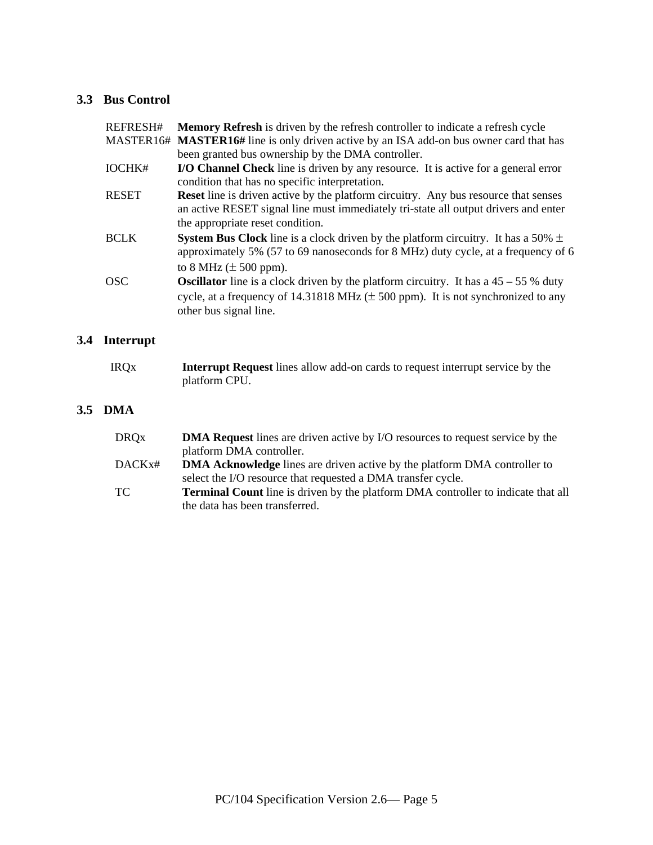#### **3.3 Bus Control**

| REFRESH#     | <b>Memory Refresh</b> is driven by the refresh controller to indicate a refresh cycle                                                                                                                                    |  |  |  |  |
|--------------|--------------------------------------------------------------------------------------------------------------------------------------------------------------------------------------------------------------------------|--|--|--|--|
|              | MASTER16# MASTER16# line is only driven active by an ISA add-on bus owner card that has                                                                                                                                  |  |  |  |  |
|              | been granted bus ownership by the DMA controller.                                                                                                                                                                        |  |  |  |  |
| IOCHK#       | <b>I/O Channel Check</b> line is driven by any resource. It is active for a general error<br>condition that has no specific interpretation.                                                                              |  |  |  |  |
| <b>RESET</b> | <b>Reset</b> line is driven active by the platform circuitry. Any bus resource that senses<br>an active RESET signal line must immediately tri-state all output drivers and enter<br>the appropriate reset condition.    |  |  |  |  |
| <b>BCLK</b>  | <b>System Bus Clock</b> line is a clock driven by the platform circuitry. It has a 50% $\pm$<br>approximately 5% (57 to 69 nanoseconds for 8 MHz) duty cycle, at a frequency of 6<br>to 8 MHz $(\pm 500$ ppm).           |  |  |  |  |
| <b>OSC</b>   | <b>Oscillator</b> line is a clock driven by the platform circuitry. It has a $45 - 55$ % duty<br>cycle, at a frequency of 14.31818 MHz $(\pm 500 \text{ ppm})$ . It is not synchronized to any<br>other bus signal line. |  |  |  |  |

#### **3.4 Interrupt**

| <b>IRQx</b> | <b>Interrupt Request</b> lines allow add-on cards to request interrupt service by the |
|-------------|---------------------------------------------------------------------------------------|
|             | platform CPU.                                                                         |

#### **3.5 DMA**

| <b>DRQx</b> | <b>DMA Request</b> lines are driven active by I/O resources to request service by the    |
|-------------|------------------------------------------------------------------------------------------|
|             | platform DMA controller.                                                                 |
| DACKx#      | <b>DMA Acknowledge</b> lines are driven active by the platform DMA controller to         |
|             | select the I/O resource that requested a DMA transfer cycle.                             |
| TC          | <b>Terminal Count</b> line is driven by the platform DMA controller to indicate that all |
|             | the data has been transferred.                                                           |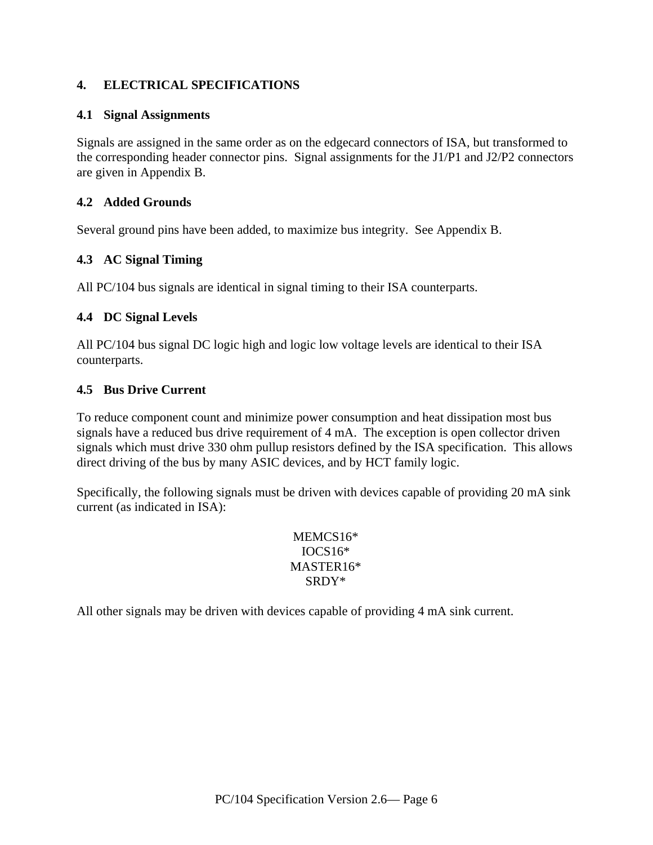#### **4. ELECTRICAL SPECIFICATIONS**

#### **4.1 Signal Assignments**

Signals are assigned in the same order as on the edgecard connectors of ISA, but transformed to the corresponding header connector pins. Signal assignments for the J1/P1 and J2/P2 connectors are given in Appendix B.

#### **4.2 Added Grounds**

Several ground pins have been added, to maximize bus integrity. See Appendix B.

#### **4.3 AC Signal Timing**

All PC/104 bus signals are identical in signal timing to their ISA counterparts.

#### **4.4 DC Signal Levels**

All PC/104 bus signal DC logic high and logic low voltage levels are identical to their ISA counterparts.

#### **4.5 Bus Drive Current**

To reduce component count and minimize power consumption and heat dissipation most bus signals have a reduced bus drive requirement of 4 mA. The exception is open collector driven signals which must drive 330 ohm pullup resistors defined by the ISA specification. This allows direct driving of the bus by many ASIC devices, and by HCT family logic.

Specifically, the following signals must be driven with devices capable of providing 20 mA sink current (as indicated in ISA):

> MEMCS16\* IOCS16\* MASTER16\* SRDY\*

All other signals may be driven with devices capable of providing 4 mA sink current.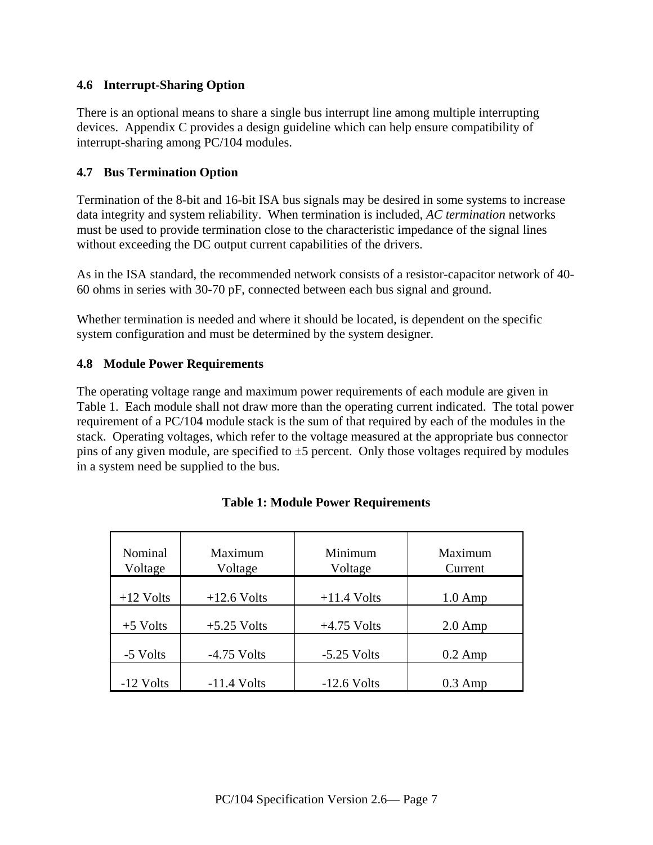#### **4.6 Interrupt-Sharing Option**

There is an optional means to share a single bus interrupt line among multiple interrupting devices. Appendix C provides a design guideline which can help ensure compatibility of interrupt-sharing among PC/104 modules.

#### **4.7 Bus Termination Option**

Termination of the 8-bit and 16-bit ISA bus signals may be desired in some systems to increase data integrity and system reliability. When termination is included, *AC termination* networks must be used to provide termination close to the characteristic impedance of the signal lines without exceeding the DC output current capabilities of the drivers.

As in the ISA standard, the recommended network consists of a resistor-capacitor network of 40- 60 ohms in series with 30-70 pF, connected between each bus signal and ground.

Whether termination is needed and where it should be located, is dependent on the specific system configuration and must be determined by the system designer.

#### **4.8 Module Power Requirements**

The operating voltage range and maximum power requirements of each module are given in Table 1. Each module shall not draw more than the operating current indicated. The total power requirement of a PC/104 module stack is the sum of that required by each of the modules in the stack. Operating voltages, which refer to the voltage measured at the appropriate bus connector pins of any given module, are specified to  $\pm$ 5 percent. Only those voltages required by modules in a system need be supplied to the bus.

| Nominal<br>Voltage | Maximum<br>Voltage | Minimum<br>Voltage | Maximum<br>Current |
|--------------------|--------------------|--------------------|--------------------|
| $+12$ Volts        | $+12.6$ Volts      | $+11.4$ Volts      | $1.0 \text{ Amp}$  |
| $+5$ Volts         | $+5.25$ Volts      | $+4.75$ Volts      | $2.0 \text{ Amp}$  |
| -5 Volts           | $-4.75$ Volts      | $-5.25$ Volts      | $0.2$ Amp          |
| $-12$ Volts        | $-11.4$ Volts      | $-12.6$ Volts      | $0.3$ Amp          |

#### **Table 1: Module Power Requirements**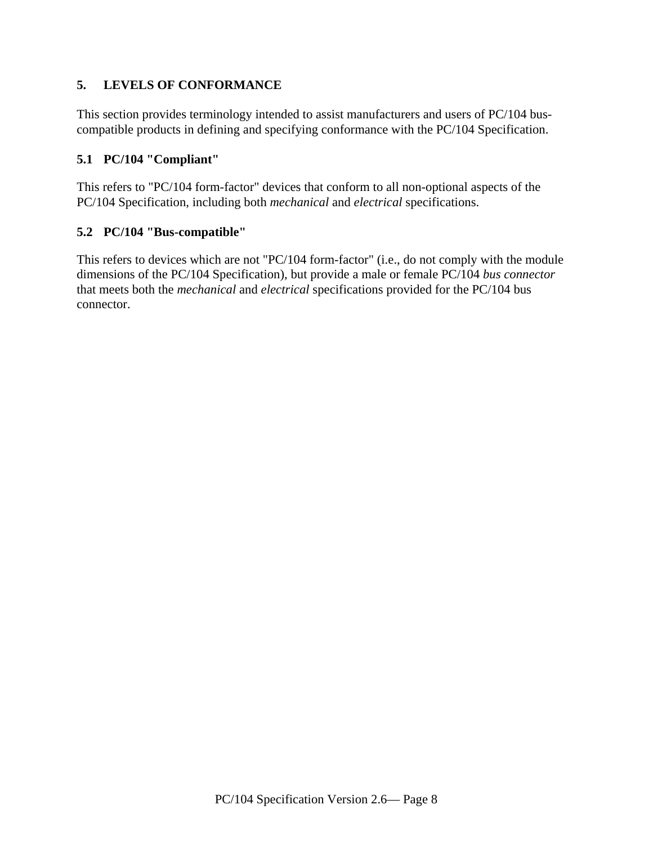#### **5. LEVELS OF CONFORMANCE**

This section provides terminology intended to assist manufacturers and users of PC/104 buscompatible products in defining and specifying conformance with the PC/104 Specification.

#### **5.1 PC/104 "Compliant"**

This refers to "PC/104 form-factor" devices that conform to all non-optional aspects of the PC/104 Specification, including both *mechanical* and *electrical* specifications.

#### **5.2 PC/104 "Bus-compatible"**

This refers to devices which are not "PC/104 form-factor" (i.e., do not comply with the module dimensions of the PC/104 Specification), but provide a male or female PC/104 *bus connector* that meets both the *mechanical* and *electrical* specifications provided for the PC/104 bus connector.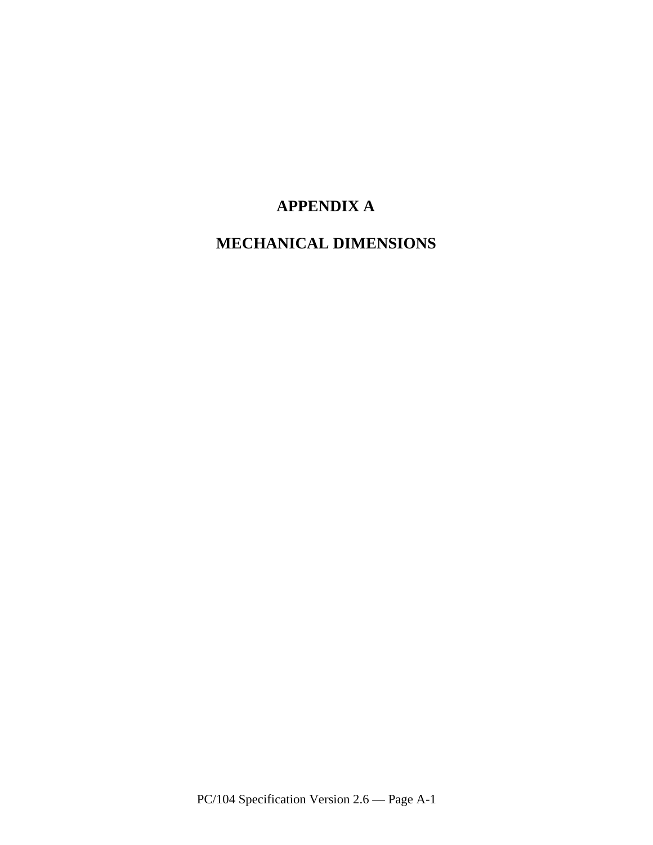## **APPENDIX A**

## **MECHANICAL DIMENSIONS**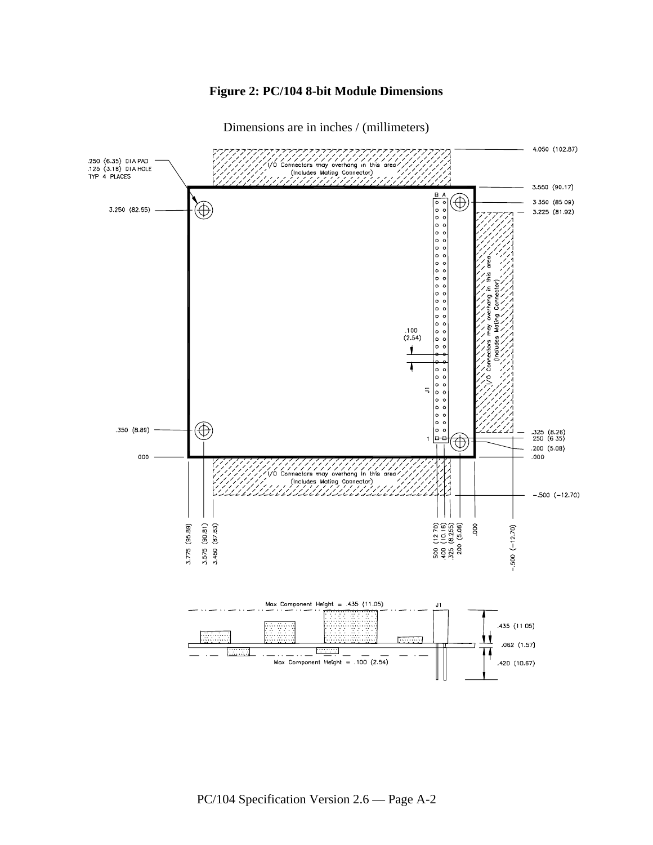#### **Figure 2: PC/104 8-bit Module Dimensions**

Dimensions are in inches / (millimeters)

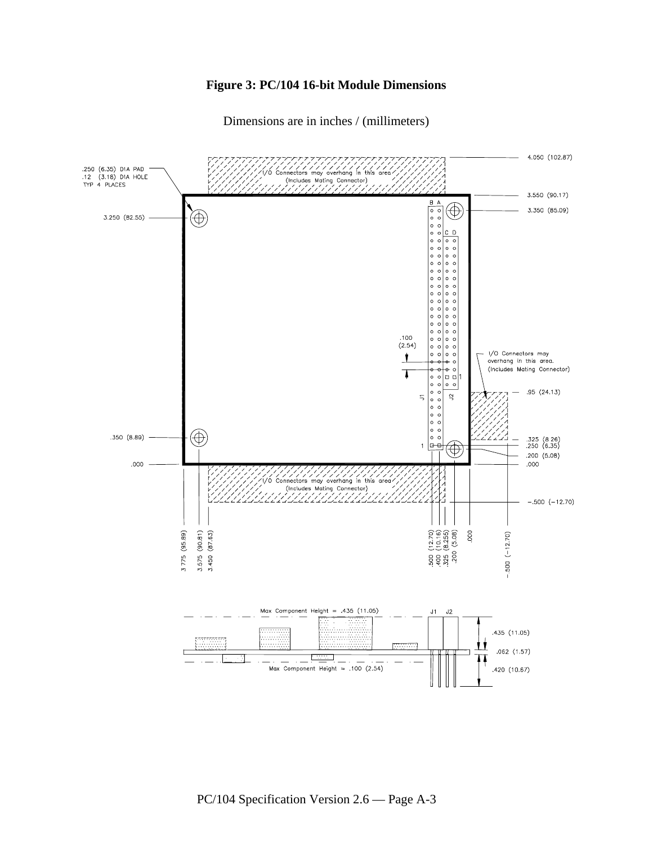#### **Figure 3: PC/104 16-bit Module Dimensions**

Dimensions are in inches / (millimeters)

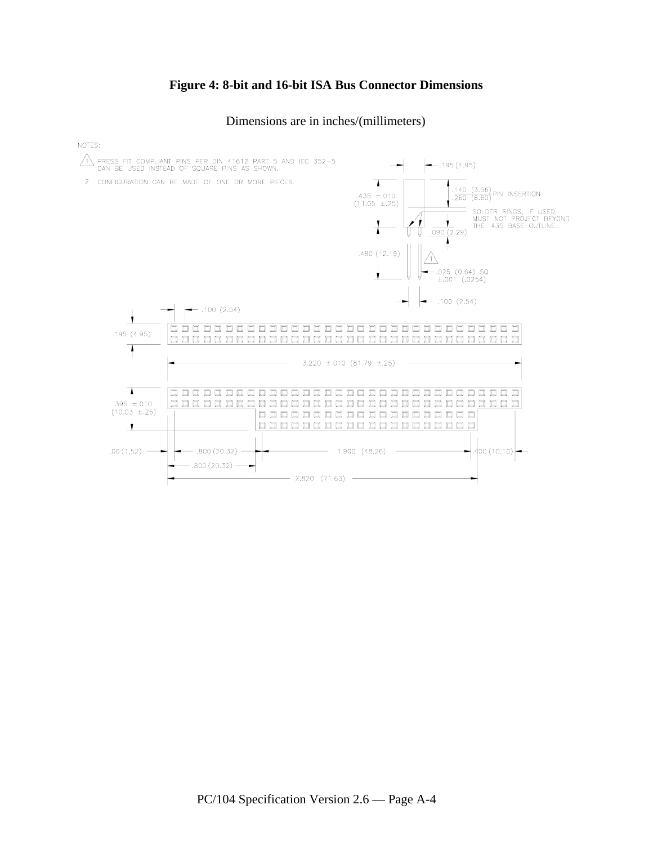#### **Figure 4: 8-bit and 16-bit ISA Bus Connector Dimensions**

Dimensions are in inches/(millimeters)

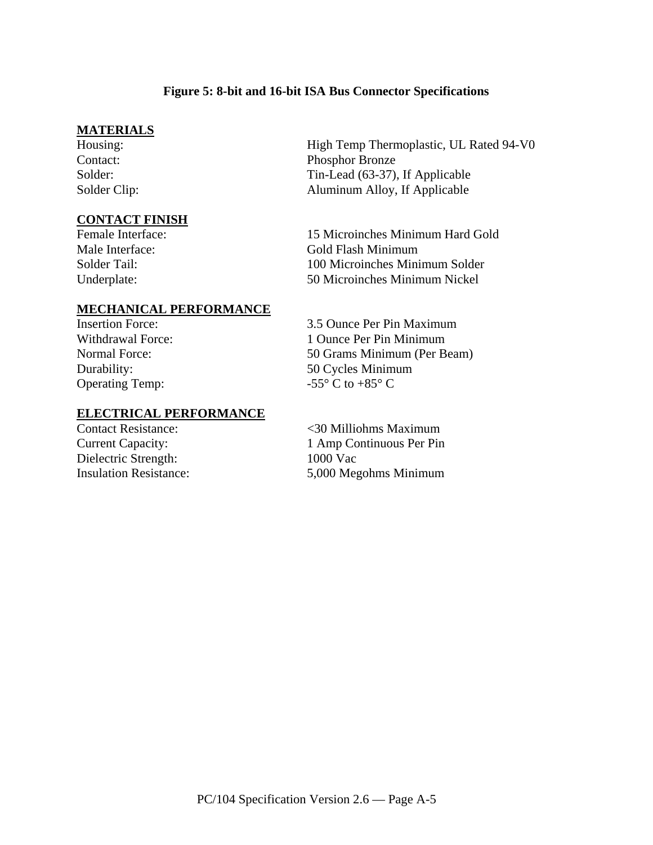#### **Figure 5: 8-bit and 16-bit ISA Bus Connector Specifications**

#### **MATERIALS**

#### **CONTACT FINISH**

High Temp Thermoplastic, UL Rated 94-V0 Contact: Phosphor Bronze Solder: Tin-Lead (63-37), If Applicable Solder Clip: Aluminum Alloy, If Applicable

Female Interface: 15 Microinches Minimum Hard Gold Male Interface: Gold Flash Minimum Solder Tail: 100 Microinches Minimum Solder Underplate: 50 Microinches Minimum Nickel

#### **MECHANICAL PERFORMANCE**

Operating Temp:  $-55^{\circ}$  C to  $+85^{\circ}$  C

#### **ELECTRICAL PERFORMANCE**

Dielectric Strength: 1000 Vac

Insertion Force: 3.5 Ounce Per Pin Maximum Withdrawal Force: 1 Ounce Per Pin Minimum Normal Force: 50 Grams Minimum (Per Beam) Durability: 50 Cycles Minimum

Contact Resistance: <30 Milliohms Maximum Current Capacity: 1 Amp Continuous Per Pin Insulation Resistance: 5,000 Megohms Minimum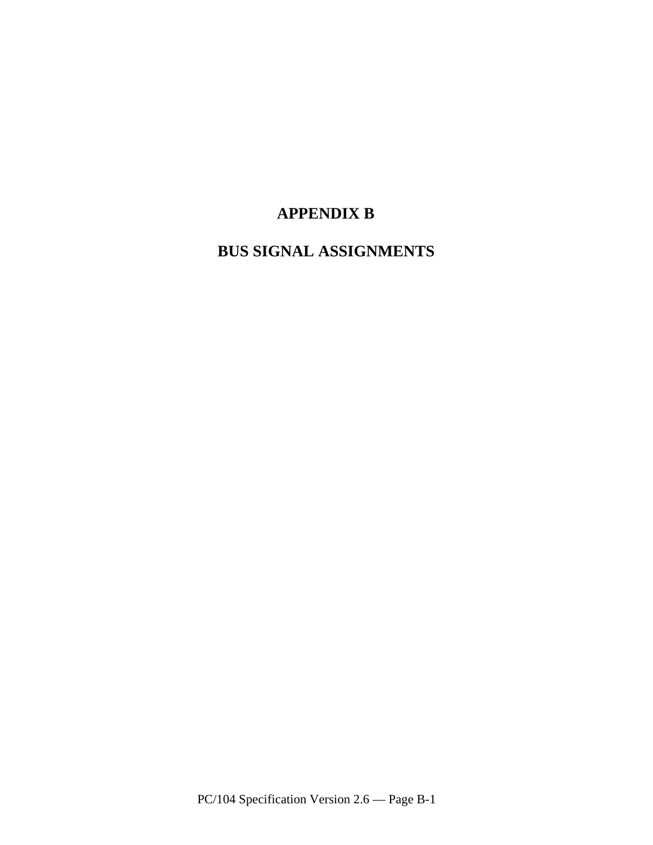## **APPENDIX B**

**BUS SIGNAL ASSIGNMENTS**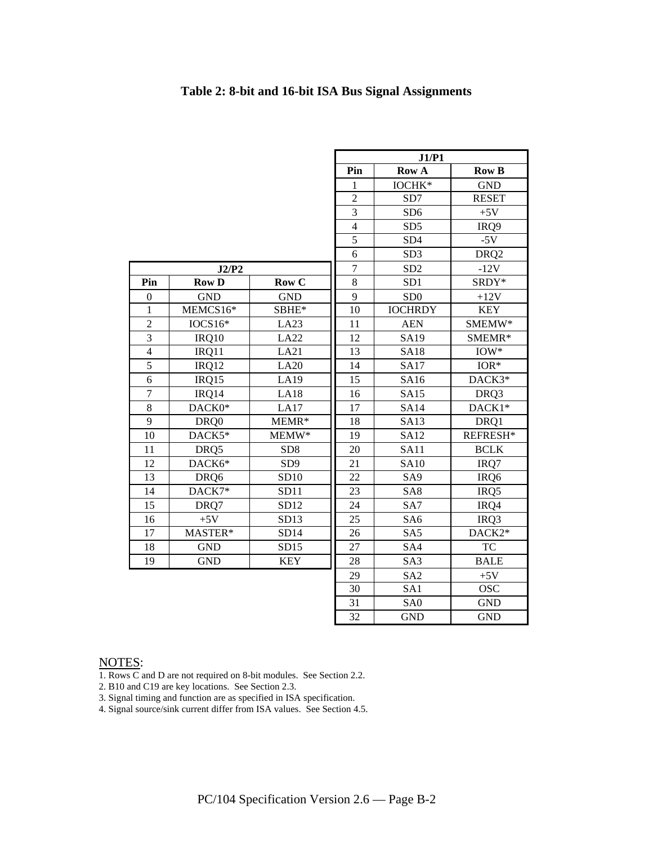|                         |              |                 | J1/P1          |                       |                     |
|-------------------------|--------------|-----------------|----------------|-----------------------|---------------------|
|                         |              |                 | Pin            | Row A<br><b>Row B</b> |                     |
|                         |              |                 | 1              | IOCHK*                | <b>GND</b>          |
|                         |              |                 | $\overline{2}$ | SD7                   | <b>RESET</b>        |
|                         |              |                 | $\overline{3}$ | SD <sub>6</sub>       | $+5V$               |
|                         |              |                 | $\overline{4}$ | SD <sub>5</sub>       | IRQ9                |
|                         |              |                 | 5              | SD <sub>4</sub>       | $-5V$               |
|                         |              |                 | 6              | SD <sub>3</sub>       | DRQ <sub>2</sub>    |
|                         | J2/P2        |                 | $\overline{7}$ | SD <sub>2</sub>       | $-12V$              |
| Pin                     | <b>Row D</b> | Row C           | $\overline{8}$ | SD <sub>1</sub>       | SRDY*               |
| $\boldsymbol{0}$        | <b>GND</b>   | <b>GND</b>      | 9              | SD <sub>0</sub>       | $+12V$              |
| 1                       | MEMCS16*     | SBHE*           | 10             | <b>IOCHRDY</b>        | <b>KEY</b>          |
| $\overline{2}$          | $IOCS16*$    | LA23            | 11             | <b>AEN</b>            | SMEMW*              |
| $\overline{3}$          | IRQ10        | LA22            | 12             | <b>SA19</b>           | SMEMR*              |
| $\overline{\mathbf{4}}$ | IRQ11        | LA21            | 13             | <b>SA18</b>           | $IOW*$              |
| 5                       | IRQ12        | LA20            | 14             | <b>SA17</b>           | $IOR*$              |
| 6                       | IRQ15        | LA19            | 15             | <b>SA16</b>           | DACK3*              |
| $\tau$                  | IRQ14        | <b>LA18</b>     | 16             | <b>SA15</b>           | DRQ3                |
| 8                       | DACK0*       | LA17            | 17             | <b>SA14</b>           | DACK1*              |
| 9                       | DRQ0         | MEMR*           | 18             | <b>SA13</b>           | DRQ1                |
| 10                      | DACK5*       | MEMW*           | 19             | <b>SA12</b>           | REFRESH*            |
| 11                      | DRQ5         | SD <sub>8</sub> | 20             | <b>SA11</b>           | <b>BCLK</b>         |
| 12                      | DACK6*       | SD <sub>9</sub> | 21             | <b>SA10</b>           | IRQ7                |
| 13                      | DRQ6         | SD10            | 22             | SA <sub>9</sub>       | IRQ <sub>6</sub>    |
| 14                      | DACK7*       | SD11            | 23             | SA <sub>8</sub>       | IRQ5                |
| 15                      | DRQ7         | SD12            | 24             | SA7                   | IRQ4                |
| 16                      | $+5V$        | SD13            | 25             | SA <sub>6</sub>       | IRQ3                |
| 17                      | MASTER*      | SD14            | 26             | SA <sub>5</sub>       | DACK <sub>2</sub> * |
| 18                      | <b>GND</b>   | SD15            | 27             | SA4                   | <b>TC</b>           |
| 19                      | <b>GND</b>   | <b>KEY</b>      | 28             | SA <sub>3</sub>       | <b>BALE</b>         |
|                         |              |                 | 29             | SA <sub>2</sub>       | $+5V$               |
|                         |              |                 | 30             | SA1                   | <b>OSC</b>          |
|                         |              |                 | 31             | SA <sub>0</sub>       | <b>GND</b>          |
|                         |              |                 | 32             | <b>GND</b>            | <b>GND</b>          |

#### **Table 2: 8-bit and 16-bit ISA Bus Signal Assignments**

#### NOTES:

1. Rows C and D are not required on 8-bit modules. See Section 2.2.

2. B10 and C19 are key locations. See Section 2.3.

3. Signal timing and function are as specified in ISA specification.

4. Signal source/sink current differ from ISA values. See Section 4.5.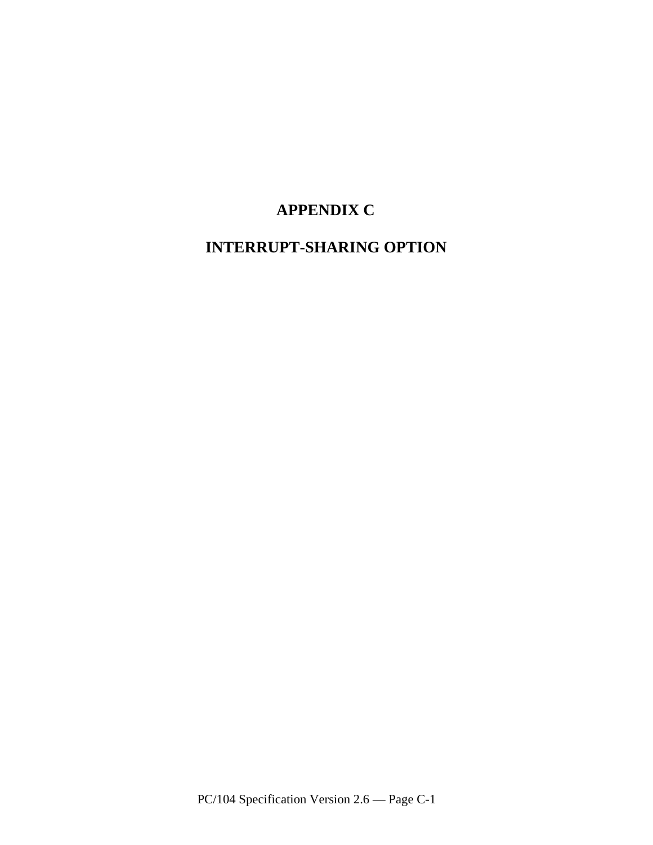## **APPENDIX C**

## **INTERRUPT-SHARING OPTION**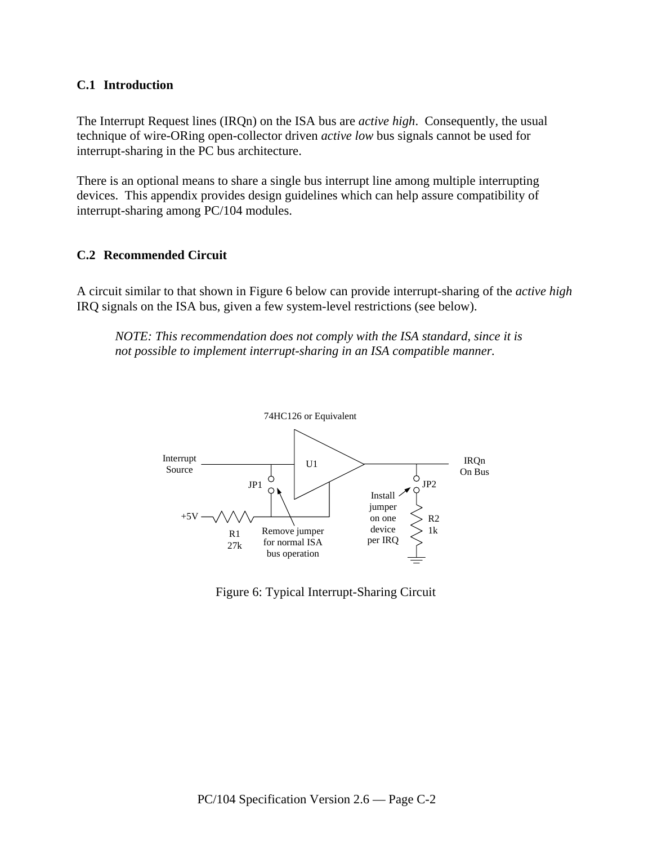#### **C.1 Introduction**

The Interrupt Request lines (IRQn) on the ISA bus are *active high*. Consequently, the usual technique of wire-ORing open-collector driven *active low* bus signals cannot be used for interrupt-sharing in the PC bus architecture.

There is an optional means to share a single bus interrupt line among multiple interrupting devices. This appendix provides design guidelines which can help assure compatibility of interrupt-sharing among PC/104 modules.

#### **C.2 Recommended Circuit**

A circuit similar to that shown in Figure 6 below can provide interrupt-sharing of the *active high* IRQ signals on the ISA bus, given a few system-level restrictions (see below).

*NOTE: This recommendation does not comply with the ISA standard, since it is not possible to implement interrupt-sharing in an ISA compatible manner.*



Figure 6: Typical Interrupt-Sharing Circuit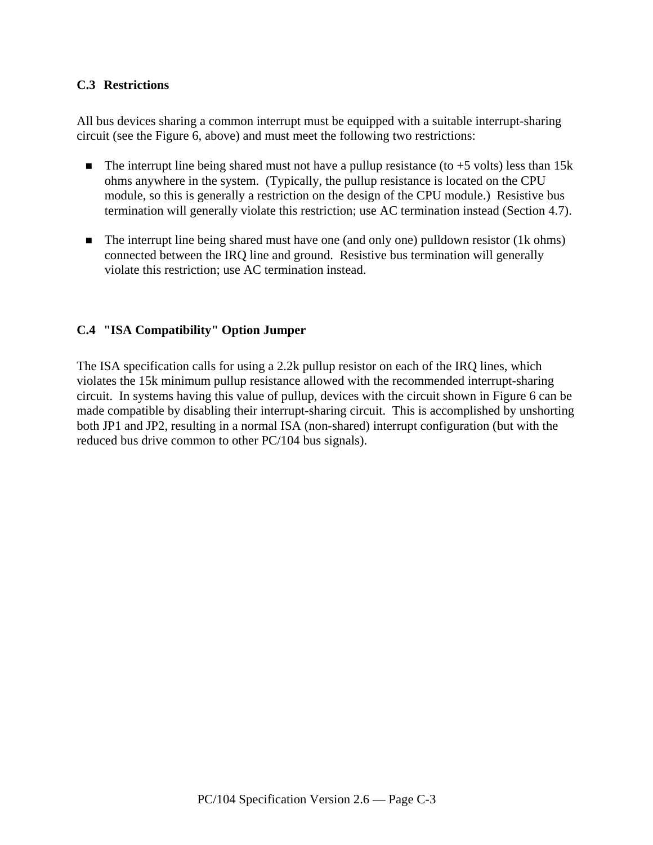#### **C.3 Restrictions**

All bus devices sharing a common interrupt must be equipped with a suitable interrupt-sharing circuit (see the Figure 6, above) and must meet the following two restrictions:

- The interrupt line being shared must not have a pullup resistance (to  $+5$  volts) less than 15k ohms anywhere in the system. (Typically, the pullup resistance is located on the CPU module, so this is generally a restriction on the design of the CPU module.) Resistive bus termination will generally violate this restriction; use AC termination instead (Section 4.7).
- The interrupt line being shared must have one (and only one) pulldown resistor (1k ohms) connected between the IRQ line and ground. Resistive bus termination will generally violate this restriction; use AC termination instead.

#### **C.4 "ISA Compatibility" Option Jumper**

The ISA specification calls for using a 2.2k pullup resistor on each of the IRQ lines, which violates the 15k minimum pullup resistance allowed with the recommended interrupt-sharing circuit. In systems having this value of pullup, devices with the circuit shown in Figure 6 can be made compatible by disabling their interrupt-sharing circuit. This is accomplished by unshorting both JP1 and JP2, resulting in a normal ISA (non-shared) interrupt configuration (but with the reduced bus drive common to other PC/104 bus signals).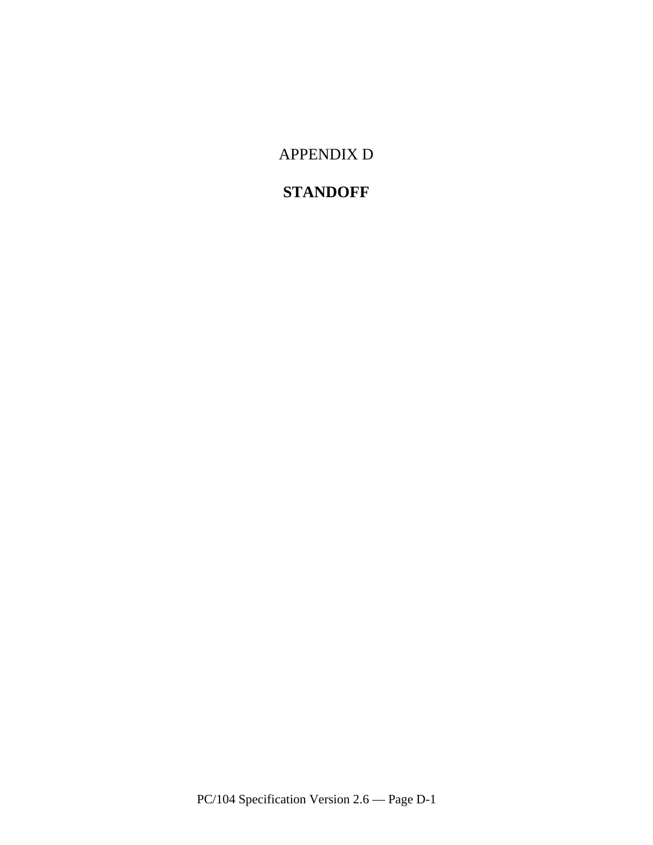APPENDIX D

## **STANDOFF**